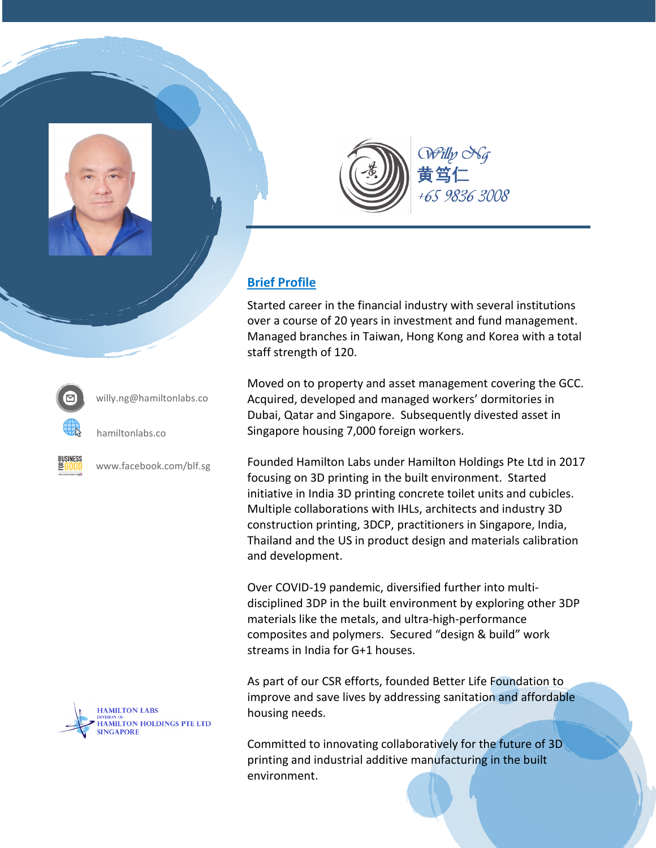



## **Brief Profile**

Started career in the financial industry with several institutions over a course of 20 years in investment and fund management. Managed branches in Taiwan, Hong Kong and Korea with a total staff strength of 120.

Moved on to property and asset management covering the GCC. Acquired, developed and managed workers' dormitories in Dubai, Qatar and Singapore. Subsequently divested asset in Singapore housing 7,000 foreign workers.

Founded Hamilton Labs under Hamilton Holdings Pte Ltd in 2017 focusing on 3D printing in the built environment. Started initiative in India 3D printing concrete toilet units and cubicles. Multiple collaborations with IHLs, architects and industry 3D construction printing, 3DCP, practitioners in Singapore, India, Thailand and the US in product design and materials calibration and development.

Over COVID-19 pandemic, diversified further into multidisciplined 3DP in the built environment by exploring other 3DP materials like the metals, and ultra-high-performance composites and polymers. Secured "design & build" work streams in India for G+1 houses.

As part of our CSR efforts, founded Better Life Foundation to improve and save lives by addressing sanitation and affordable housing needs.

Committed to innovating collaboratively for the future of 3D printing and industrial additive manufacturing in the built environment.



willy.ng@hamiltonlabs.co



hamiltonlabs.co



www.facebook.com/blf.sg